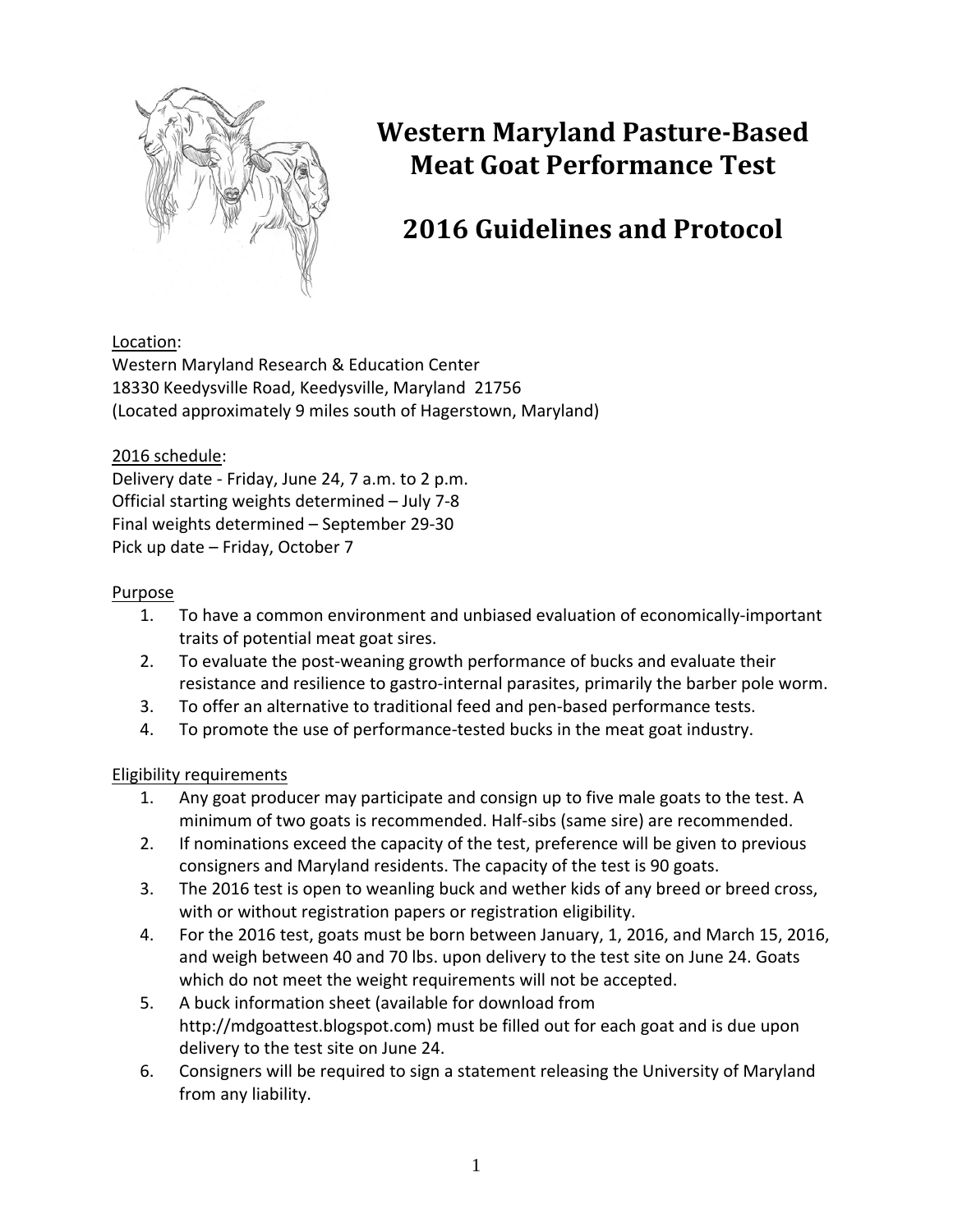

# **Western Maryland Pasture‐Based Meat Goat Performance Test**

# **2016 Guidelines and Protocol**

# Location:

Western Maryland Research & Education Center 18330 Keedysville Road, Keedysville, Maryland 21756 (Located approximately 9 miles south of Hagerstown, Maryland)

# 2016 schedule:

Delivery date ‐ Friday, June 24, 7 a.m. to 2 p.m. Official starting weights determined – July 7‐8 Final weights determined – September 29‐30 Pick up date – Friday, October 7

#### Purpose

- 1. To have a common environment and unbiased evaluation of economically‐important traits of potential meat goat sires.
- 2. To evaluate the post-weaning growth performance of bucks and evaluate their resistance and resilience to gastro-internal parasites, primarily the barber pole worm.
- 3. To offer an alternative to traditional feed and pen‐based performance tests.
- 4. To promote the use of performance-tested bucks in the meat goat industry.

# Eligibility requirements

- 1. Any goat producer may participate and consign up to five male goats to the test. A minimum of two goats is recommended. Half‐sibs (same sire) are recommended.
- 2. If nominations exceed the capacity of the test, preference will be given to previous consigners and Maryland residents. The capacity of the test is 90 goats.
- 3. The 2016 test is open to weanling buck and wether kids of any breed or breed cross, with or without registration papers or registration eligibility.
- 4. For the 2016 test, goats must be born between January, 1, 2016, and March 15, 2016, and weigh between 40 and 70 lbs. upon delivery to the test site on June 24. Goats which do not meet the weight requirements will not be accepted.
- 5. A buck information sheet (available for download from http://mdgoattest.blogspot.com) must be filled out for each goat and is due upon delivery to the test site on June 24.
- 6. Consigners will be required to sign a statement releasing the University of Maryland from any liability.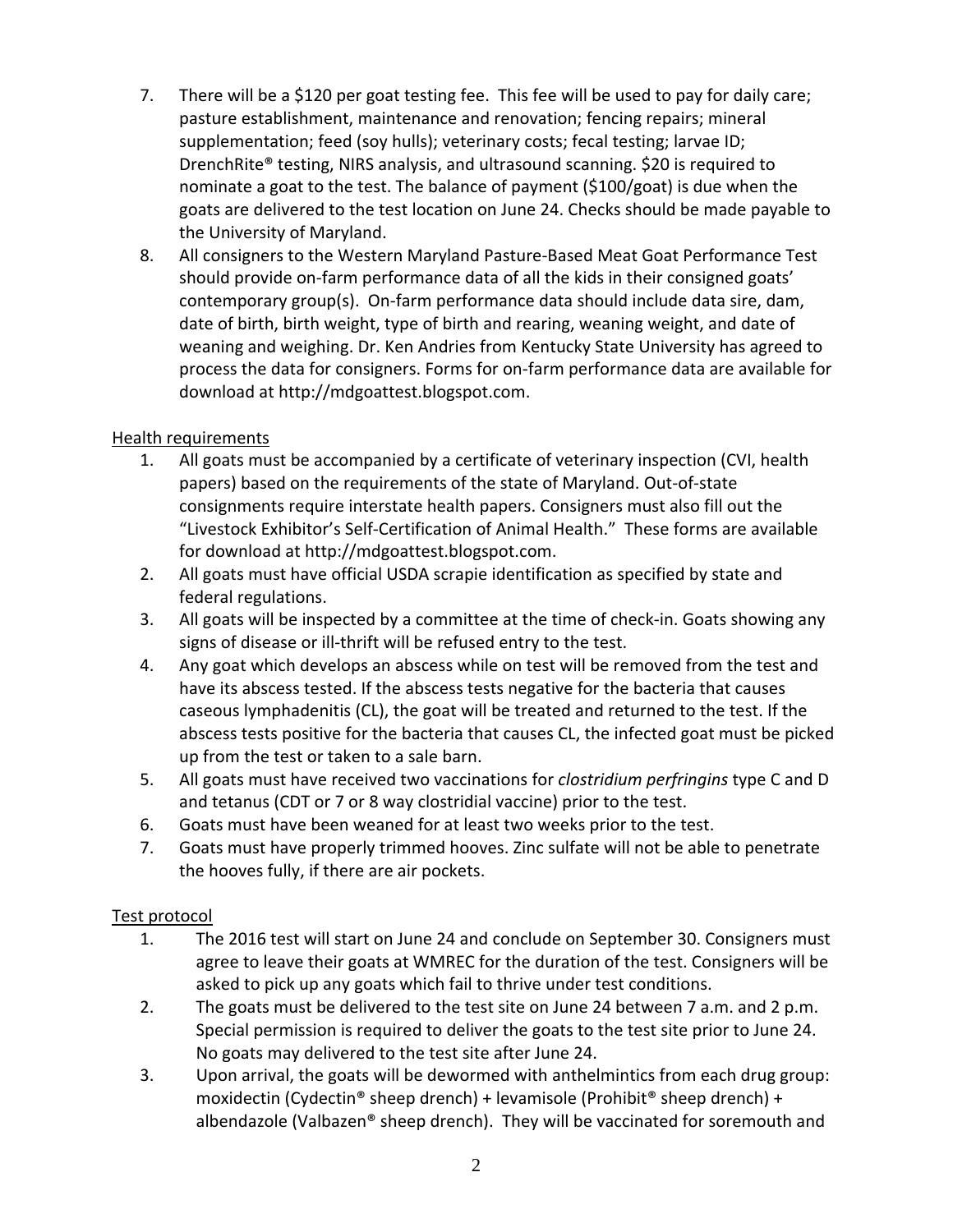- 7. There will be a \$120 per goat testing fee. This fee will be used to pay for daily care; pasture establishment, maintenance and renovation; fencing repairs; mineral supplementation; feed (soy hulls); veterinary costs; fecal testing; larvae ID; DrenchRite® testing, NIRS analysis, and ultrasound scanning. \$20 is required to nominate a goat to the test. The balance of payment (\$100/goat) is due when the goats are delivered to the test location on June 24. Checks should be made payable to the University of Maryland.
- 8. All consigners to the Western Maryland Pasture‐Based Meat Goat Performance Test should provide on-farm performance data of all the kids in their consigned goats' contemporary group(s). On‐farm performance data should include data sire, dam, date of birth, birth weight, type of birth and rearing, weaning weight, and date of weaning and weighing. Dr. Ken Andries from Kentucky State University has agreed to process the data for consigners. Forms for on‐farm performance data are available for download at http://mdgoattest.blogspot.com.

# Health requirements

- 1. All goats must be accompanied by a certificate of veterinary inspection (CVI, health papers) based on the requirements of the state of Maryland. Out‐of‐state consignments require interstate health papers. Consigners must also fill out the "Livestock Exhibitor's Self‐Certification of Animal Health." These forms are available for download at http://mdgoattest.blogspot.com.
- 2. All goats must have official USDA scrapie identification as specified by state and federal regulations.
- 3. All goats will be inspected by a committee at the time of check‐in. Goats showing any signs of disease or ill-thrift will be refused entry to the test.
- 4. Any goat which develops an abscess while on test will be removed from the test and have its abscess tested. If the abscess tests negative for the bacteria that causes caseous lymphadenitis (CL), the goat will be treated and returned to the test. If the abscess tests positive for the bacteria that causes CL, the infected goat must be picked up from the test or taken to a sale barn.
- 5. All goats must have received two vaccinations for *clostridium perfringins* type C and D and tetanus (CDT or 7 or 8 way clostridial vaccine) prior to the test.
- 6. Goats must have been weaned for at least two weeks prior to the test.
- 7. Goats must have properly trimmed hooves. Zinc sulfate will not be able to penetrate the hooves fully, if there are air pockets.

# Test protocol

- 1. The 2016 test will start on June 24 and conclude on September 30. Consigners must agree to leave their goats at WMREC for the duration of the test. Consigners will be asked to pick up any goats which fail to thrive under test conditions.
- 2. The goats must be delivered to the test site on June 24 between 7 a.m. and 2 p.m. Special permission is required to deliver the goats to the test site prior to June 24. No goats may delivered to the test site after June 24.
- 3. Upon arrival, the goats will be dewormed with anthelmintics from each drug group: moxidectin (Cydectin® sheep drench) + levamisole (Prohibit® sheep drench) + albendazole (Valbazen® sheep drench). They will be vaccinated for soremouth and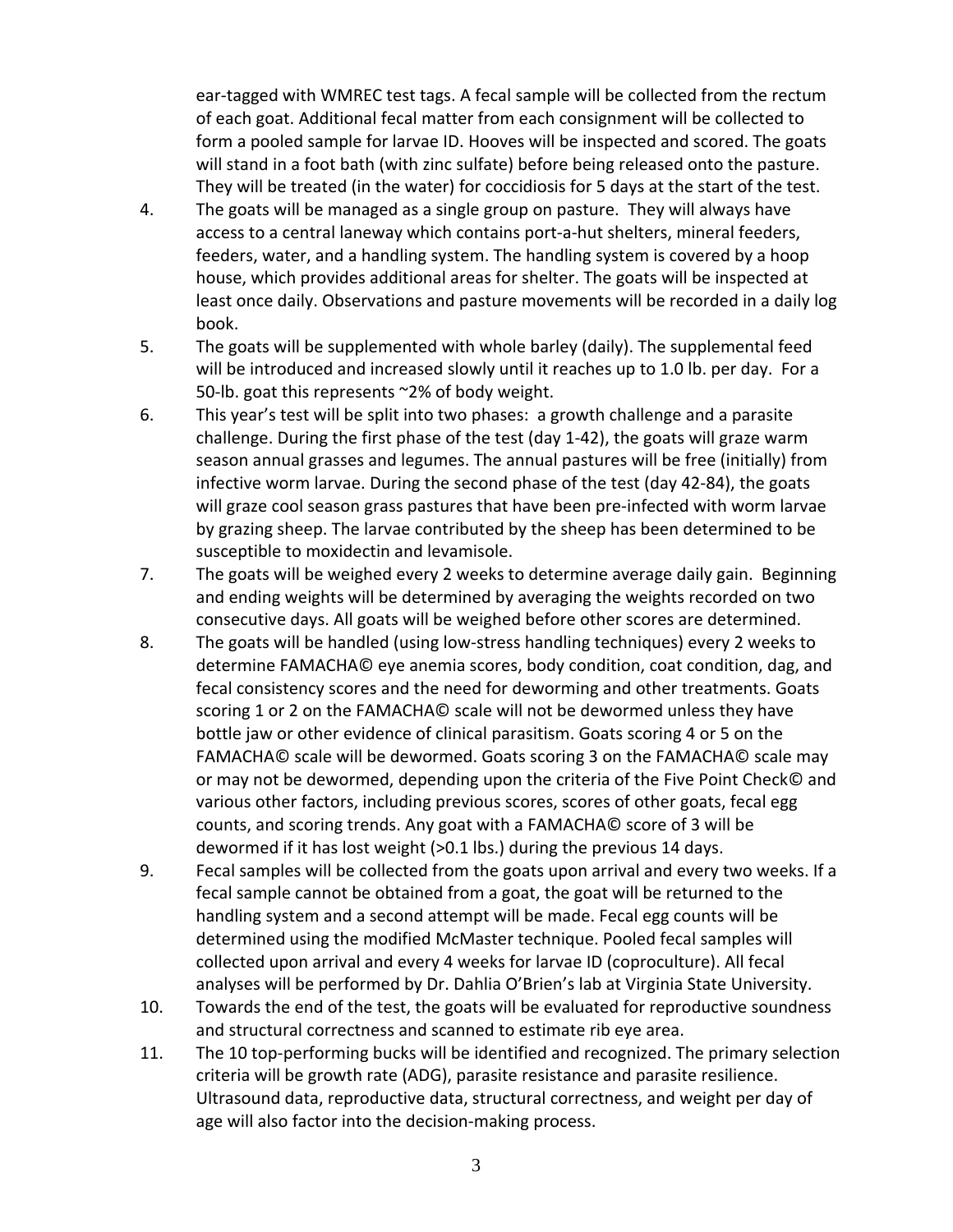ear-tagged with WMREC test tags. A fecal sample will be collected from the rectum of each goat. Additional fecal matter from each consignment will be collected to form a pooled sample for larvae ID. Hooves will be inspected and scored. The goats will stand in a foot bath (with zinc sulfate) before being released onto the pasture. They will be treated (in the water) for coccidiosis for 5 days at the start of the test.

- 4. The goats will be managed as a single group on pasture. They will always have access to a central laneway which contains port‐a‐hut shelters, mineral feeders, feeders, water, and a handling system. The handling system is covered by a hoop house, which provides additional areas for shelter. The goats will be inspected at least once daily. Observations and pasture movements will be recorded in a daily log book.
- 5. The goats will be supplemented with whole barley (daily). The supplemental feed will be introduced and increased slowly until it reaches up to 1.0 lb. per day. For a 50-lb. goat this represents ~2% of body weight.
- 6. This year's test will be split into two phases: a growth challenge and a parasite challenge. During the first phase of the test (day 1‐42), the goats will graze warm season annual grasses and legumes. The annual pastures will be free (initially) from infective worm larvae. During the second phase of the test (day 42‐84), the goats will graze cool season grass pastures that have been pre-infected with worm larvae by grazing sheep. The larvae contributed by the sheep has been determined to be susceptible to moxidectin and levamisole.
- 7. The goats will be weighed every 2 weeks to determine average daily gain. Beginning and ending weights will be determined by averaging the weights recorded on two consecutive days. All goats will be weighed before other scores are determined.
- 8. The goats will be handled (using low‐stress handling techniques) every 2 weeks to determine FAMACHA© eye anemia scores, body condition, coat condition, dag, and fecal consistency scores and the need for deworming and other treatments. Goats scoring 1 or 2 on the FAMACHA© scale will not be dewormed unless they have bottle jaw or other evidence of clinical parasitism. Goats scoring 4 or 5 on the FAMACHA© scale will be dewormed. Goats scoring 3 on the FAMACHA© scale may or may not be dewormed, depending upon the criteria of the Five Point Check© and various other factors, including previous scores, scores of other goats, fecal egg counts, and scoring trends. Any goat with a FAMACHA© score of 3 will be dewormed if it has lost weight (>0.1 lbs.) during the previous 14 days.
- 9. Fecal samples will be collected from the goats upon arrival and every two weeks. If a fecal sample cannot be obtained from a goat, the goat will be returned to the handling system and a second attempt will be made. Fecal egg counts will be determined using the modified McMaster technique. Pooled fecal samples will collected upon arrival and every 4 weeks for larvae ID (coproculture). All fecal analyses will be performed by Dr. Dahlia O'Brien's lab at Virginia State University.
- 10. Towards the end of the test, the goats will be evaluated for reproductive soundness and structural correctness and scanned to estimate rib eye area.
- 11. The 10 top-performing bucks will be identified and recognized. The primary selection criteria will be growth rate (ADG), parasite resistance and parasite resilience. Ultrasound data, reproductive data, structural correctness, and weight per day of age will also factor into the decision‐making process.